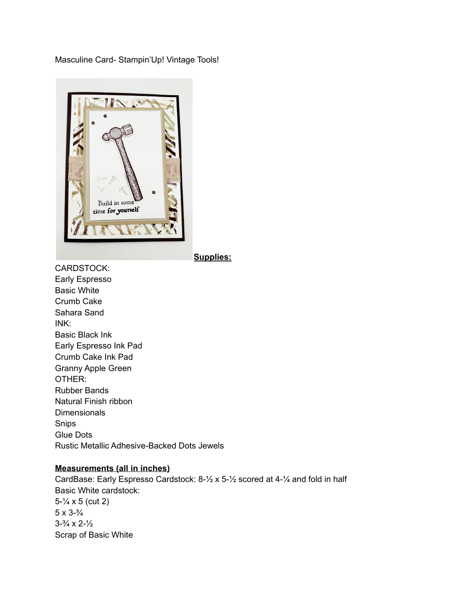Masculine Card- Stampin'Up! Vintage Tools!



**Supplies:**

CARDSTOCK: Early Espresso Basic White Crumb Cake Sahara Sand INK: Basic Black Ink Early Espresso Ink Pad Crumb Cake Ink Pad Granny Apple Green OTHER: Rubber Bands Natural Finish ribbon **Dimensionals** Snips Glue Dots Rustic Metallic Adhesive-Backed Dots Jewels

## **Measurements (all in inches)**

CardBase: Early Espresso Cardstock: 8-½ x 5-½ scored at 4-¼ and fold in half Basic White cardstock: 5-¼ x 5 (cut 2) 5 x 3-¾  $3 - \frac{3}{4} \times 2 - \frac{1}{2}$ Scrap of Basic White